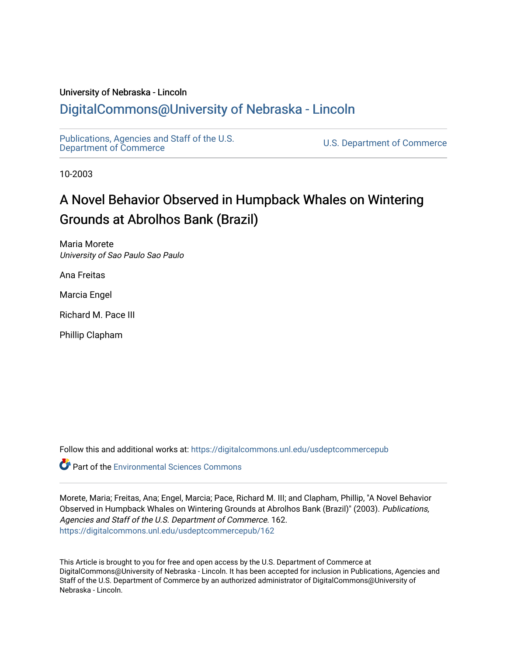# University of Nebraska - Lincoln

# [DigitalCommons@University of Nebraska - Lincoln](https://digitalcommons.unl.edu/)

[Publications, Agencies and Staff of the U.S.](https://digitalcommons.unl.edu/usdeptcommercepub)

U.S. [Department of Commerce](https://digitalcommons.unl.edu/usdeptcommercepub)

10-2003

# A Novel Behavior Observed in Humpback Whales on Wintering Grounds at Abrolhos Bank (Brazil)

Maria Morete University of Sao Paulo Sao Paulo

Ana Freitas

Marcia Engel

Richard M. Pace III

Phillip Clapham

Follow this and additional works at: [https://digitalcommons.unl.edu/usdeptcommercepub](https://digitalcommons.unl.edu/usdeptcommercepub?utm_source=digitalcommons.unl.edu%2Fusdeptcommercepub%2F162&utm_medium=PDF&utm_campaign=PDFCoverPages)

**C**<sup> $\bullet$ </sup> Part of the [Environmental Sciences Commons](http://network.bepress.com/hgg/discipline/167?utm_source=digitalcommons.unl.edu%2Fusdeptcommercepub%2F162&utm_medium=PDF&utm_campaign=PDFCoverPages)

Morete, Maria; Freitas, Ana; Engel, Marcia; Pace, Richard M. III; and Clapham, Phillip, "A Novel Behavior Observed in Humpback Whales on Wintering Grounds at Abrolhos Bank (Brazil)" (2003). Publications, Agencies and Staff of the U.S. Department of Commerce. 162. [https://digitalcommons.unl.edu/usdeptcommercepub/162](https://digitalcommons.unl.edu/usdeptcommercepub/162?utm_source=digitalcommons.unl.edu%2Fusdeptcommercepub%2F162&utm_medium=PDF&utm_campaign=PDFCoverPages) 

This Article is brought to you for free and open access by the U.S. Department of Commerce at DigitalCommons@University of Nebraska - Lincoln. It has been accepted for inclusion in Publications, Agencies and Staff of the U.S. Department of Commerce by an authorized administrator of DigitalCommons@University of Nebraska - Lincoln.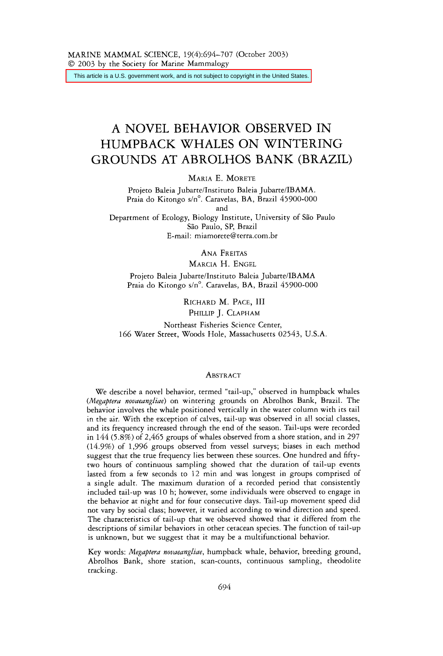This article is a U.S. government work, and is not subject to copyright in the United States.

# A NOVEL BEHAVIOR OBSERVED IN HUMPBACK WHALES ON WINTERING GROUNDS AT ABROLHOS BANK (BRAZIL)

MARIA E. MORETE

Projeto Baleia Jubarte/Instituto Baleia Jubarte/IBAMA. Praia do Kitongo s/n°. Caravelas, BA, Brazil 45900-000 and Department of Ecology, Biology Institute, University of São Paulo *SZo* Paulo, SP, Brazil E-mail: miamorete@terra.com.br

ANA FREITAS

MARCIA H. ENGEL

Projeto Baleia Jubarte/Instituto Baleia Jubarte/IBAMA Praia do Kitongo s/n°. Caravelas, BA, Brazil 45900-000

> RICHARD M. PACE, III PHILLIP J. CLAPHAM

Northeast Fisheries Science Center, *166* Water Street, Woods Hole, Massachusetts *02543,* U.S.A.

## ABSTRACT

We describe a novel behavior, termed "tail-up," observed in humpback whales *(Megaptera novaeangliae)* on wintering grounds on Abrolhos Bank, Brazil. The behavior involves the whale positioned vertically in the water column with its tail in the air. Wirh the exception of calves, tail-up was observed in all social classes, and its frequency increased through the end of the season. Tail-ups were recorded in *144 (5.8%)* of *2,465* groups of whales observed from a shore station, and in 297 *(14.9%)* of *1,996* groups observed from vessel surveys; biases in each method suggest that the true frequency lies between these sources. One hundred and fiftytwo hours of continuous sampling showed that the duration of tail-up events lasted from a few seconds to 12 min and was longest in groups comprised of a single adult. The maximum duration of a recorded period that consistently included tail-up was *10* h; however, some individuals were observed to engage in the behavior at night and for four consecutive days. Tail-up movement speed did not vary by social class; however, it varied according to wind direction and speed. The characteristics of tail-up that we observed showed that it differed from the descriptions of similar behaviors in other cetacean species. The function of tail-up is unknown, but we suggest that it may be a multifunctional behavior.

Key words: *Megaptera novaeangliae,* humpback whale, behavior, breeding ground, Abrolhos Bank, shore station, scan-counts, continuous sampling, theodolite tracking.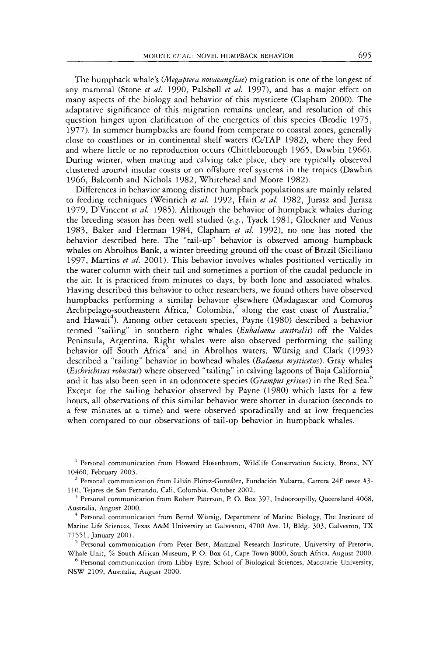The humpback whale's *(Megaptera novaeangliae)* migration is one of the longest of any mammal (Stone *et al.* 1990, Palsbøll *et al.* 1997), and has a major effect on many aspects of the biology and behavior of this mysticete (Clapham 2000). The adaptative significance of this migration remains unclear, and resolution of this question hinges upon clarification of the energetics of this species (Brodie 1975, 1977). In summer humpbacks are found from temperate to coastal zones, generally close to coastlines or in continental shelf waters (CeTAP 1982), where they feed and where little ot no reproduction occurs (Chittleborough 1965, Dawbin 1966). During winter, when mating and calving take place, they are typically observed clustered around insular coasts or on offshore reef systems in the tropics (Dawbin 1966, Balcomb and Nichols 1982, Whitehead and Moore 1982).

Differences in behavior among distinct humpback populations are mainly related to feeding techniques (Weinrich *et ul.* 1992, Hain *et ul.* 1982, Jurasz and Jurasz 1979, D'Vincent *et al.* 1985). Although the behavior of humpback whales during the breeding season has been well studied *(e.g.,* Tyack 1981, Glockner and Venus 1983, Baker and Herman *1984,* Clapham *et al.* 1992), no one has noted the behavior described here. The "tail-up" behavior is observed among humpback whales on Abrolhos Bank, a winter breeding ground off the coast of Brazil (Siciliano 1997, Martins *et ul.* 2001). This behavior involves whales positioned vertically in the water column with their tail and sometimes a portion of the caudal peduncle in the air. It **is** practiced from minutes to days, by both lone and associated whales. Having described this behavior to other researchers, we found others have observed humpbacks performing a similar behavior elsewhere (Madagascar and Comoros Archipelago-southeastern Africa,<sup>1</sup> Colombia,<sup>2</sup> along the east coast of Australia,<sup>3</sup> and Hawaii<sup>4</sup>). Among other cetacean species, Payne (1980) described a behavior termed "sailing" in southern right whales *(Eubabena australis)* off the Valdes Peninsula, Argentina. Right whales were also observed performing the sailing behavior off South Africa<sup>5</sup> and in Abrolhos waters. Würsig and Clark (1993) described a "tailing" behavior in bowhead whales *(Balaenu mysticetus).* Gray whales *(Eschrichtius rohustus)* where observed "tailing" in calving lagoons of Baja California<sup>4</sup> and it has also been seen in an odontocete species *(Grampw griseus)* in the Red Sea. *6*  Except for the sailing behavior observed by Payne (1980) which lasts for a few hours, all observations of this similar behavior were shorter in duration (seconds to a few minutes at a time) and were observed sporadically and at low frequencies when compared to our observations of tail-up behavior in humpback whales.

10460, February 2003.<br><sup>2</sup> Personal communication from Lilián Flórez-González, Fundación Yubarra, Carrera 24F oeste #3-<br>110, Tejares de San Fernando, Cali, Colombia, October 2002.

 $3$  Personal communication from Robert Paterson, P. O. Box 397, Indooroopilly, Queensland 4068, Australia, August 2000.

Personal communication from Libby Eyre, School of Biological Sciences, Macquarie University, NSW 2109, Australia, August 2000.

<sup>&</sup>lt;sup>1</sup> Personal communication from Howard Hosenbaum, Wildlife Conservation Society, Bronx, NY

<sup>&</sup>lt;sup>4</sup> Personal communication from Bernd Würsig, Department of Marine Biology, The Institute of Marine Life Sciences, Texas A&M University at Galveston, 4700 Ave. U, Bldg. *303,* Galveston, TX 77551, January 2001.

Personal communication from Peter Best, Mammal Research Institute, University of Pretoria, Whale Unit, % South African Museum, P. 0. Box 61, Cape Town 8000, Souch Africa, August 2000.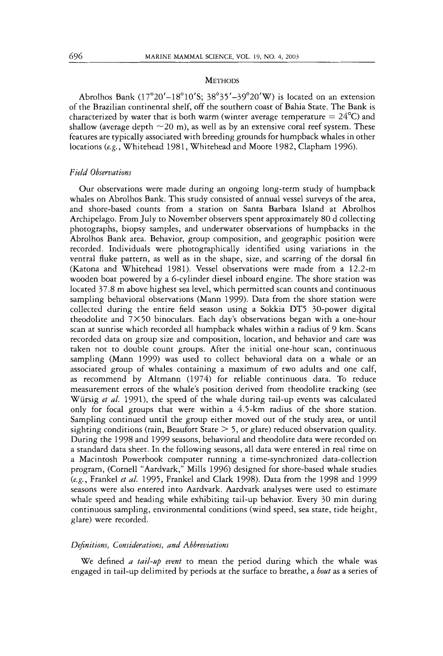#### **METHODS**

Abrolhos Bank (17°20'-18°10'S; 38°35'-39°20'W) is located on an extension of the Brazilian continental shelf, off the southern coast of Bahia State. The Bank is characterized by water that is both warm (winter average temperature  $= 24^{\circ}$ C) and shallow (average depth  $\sim$  20 m), as well as by an extensive coral reef system. These features are typically associated with breeding grounds for humpback whales in other locations (e.g., Whitehead 1981, Whitehead and Moore 1982, Clapham 1996).

# *Field Observations*

Our observations were made during an ongoing long-term study of humpback whales on Abrolhos Bank. This study consisted of annual vessel surveys of the area, and shore-based counts from a station on Santa Barbara Island at Abrolhos Archipelago. From July to November observers spent approximately 80 d collecting photographs, biopsy samples, and underwater observations of humpbacks in the Abrolhos Bank area. Behavior, group composition, and geographic position were recorded. Individuals were photographically identified using variations in the ventral fluke pattern, as well as in the shape, size, and scarring of the dorsal fin (Katona and Whitehead 1981). Vessel observations were made from a 12.2-m wooden boat powered by a 6-cylinder diesel inboard engine. The shore station was located 37.8 m above highest sea level, which permitted scan counts and continuous sampling behavioral observations (Mann 1999). Data from the shore station were collected during the entire field season using a Sokkia DT5 30-power digital theodolite and 7 X 50 binoculars. Each day's observations began with a one-hour scan at sunrise which recorded all humpback whales within a radius of 9 km. Scans recorded data on group size and composition, location, and behavior and care was taken not to double count groups. After the initial one-hour scan, continuous sampling (Mann 1999) was used to collect behavioral data on a whale or an associated group of whales containing a maximum of two adults and one calf, as recommend by Altmann (1974) for reliable continuous data. To reduce measurement errors of the whale's position derived from theodolite tracking (see Würsig *et al.* 1991), the speed of the whale during tail-up events was calculated only for focal groups that were within a 4.5-km radius of the shore station. Sampling continued until the group either moved out of the study area, or until sighting conditions (rain, Beaufort State  $> 5$ , or glare) reduced observation quality. During the 1998 and 1999 seasons, behavioral and theodolite data were recorded on a standard data sheet. In the following seasons, all data were entered in real time on a Macintosh Powerbook computer running a time-synchronized data-collection program, (Cornell "Aardvark," Mills 1996) designed for shore-based whale studies *(e.g.,* Frankel *et al.* 1995, Frankel and Clark 1998). Data from the 1998 and 1999 seasons were also entered into Aardvark. Aardvark analyses were used to estimate whale speed and heading while exhibiting tail-up behavior. Every 30 min during continuous sampling, environmental conditions (wind speed, sea state, tide height, glare) were recorded.

#### *Definitions, Considerations, and Abbreviations*

We defined *a tail-up event* to mean the period during which the whale was engaged in tail-up delimited by periods at the surface to breathe, a *bout* as a series of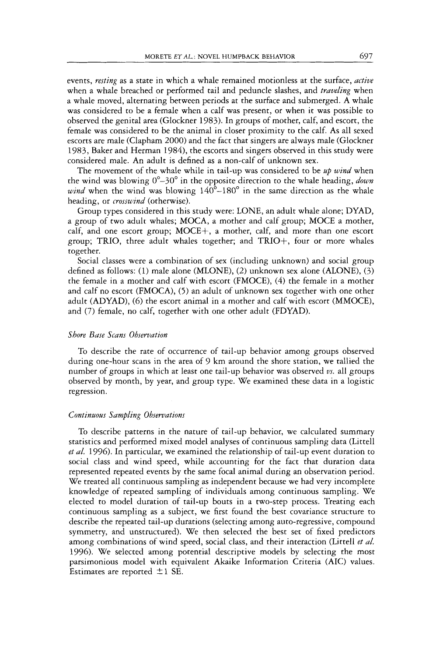events, *resting* as a state in which a whale remained motionless at the surface, *active*  when a whale breached or performed tail and peduncle slashes, and *traveling* when a whale moved, alternating between periods at the surface and submerged. A whale was considered to be a female when a calf was present, or when it was possible to observed the genital area (Glockner 1983). In groups of mother, calf, and escort, the female was considered to be the animal in closer proximity to the calf. As all sexed escorts are male (Clapham 2000) and the fact that singers are always male (Glockner 1983, Baker and Herman 1984), the escorts and singers observed in this study were considered male. An adult is defined as a non-calf of unknown sex.

The movement of the whale while in tail-up was considered to be *up wind* when the wind was blowing  $0^{\circ}-30^{\circ}$  in the opposite direction to the whale heading, *down wind* when the wind was blowing  $140^{\circ}$ -180 $^{\circ}$  in the same direction as the whale heading, or *crosswind* (otherwise).

Group types considered in this study were: LONE, an adult whale alone; DYAD, a group of two adult whales; MOCA, a mother and calf group; MOCE a mother, calf, and one escort group; MOCE+, a mother, calf, and more than one escort group; TRIO, three adult whales together; and TRIO+, four or more whales together.

Social classes were a combination of sex (including unknown) and social group defined as follows: (1) male alone (MLONE), (2) unknown sex alone (ALONE), (3) the female in a mother and calf with escort (FMOCE), *(4)* the female in a mother and calf no escort (FMOCA), (5) an adult of unknown sex together with one other adult (ADYAD), (6) the escort animal in a mother and calf with escort (MMOCE), and (7) female, no calf, together with one other adult (FDYAD).

#### *Shore Buse Scans Observation*

To describe the rate of occurrence of tail-up behavior among groups observed during one-hour scans in the area of 9 km around the shore station, we tallied the number of groups in which at least one tail-up behavior was observed *vs*. all groups observed by month, by year, and group type. We examined these data in a logistic regression.

#### *Continuous Sampling Obsewationj*

To describe patterns in the nature of tail-up behavior, we calculated summary statistics and performed mixed model analyses of continuous sampling data (Littell *et al.* 1996). In particular, we examined the relationship of tail-up event duration to social class and wind speed, while accounting for the fact that duration data represented repeated events by the same focal animal during an observation period. We treated all continuous sampling as independent because we had very incomplete knowledge of repeated sampling of individuals among continuous sampling. We elected to model duration of tail-up bouts in a two-step process. Treating each continuous sampling as a subject, we first found the best covariance structure to describe the repeated tail-up durations (selecting among auto-regressive, compound symmetry, and unstructured). We then selected the best set of fixed predictors among combinations of wind speed, social class, and their interaction (Littell *et a/.*  1996). We selected among porential descriptive models by selecting the most parsimonious model with equivalent Akaike Information Criteria (AIC) values. Estimates are reported  $\pm 1$  SE.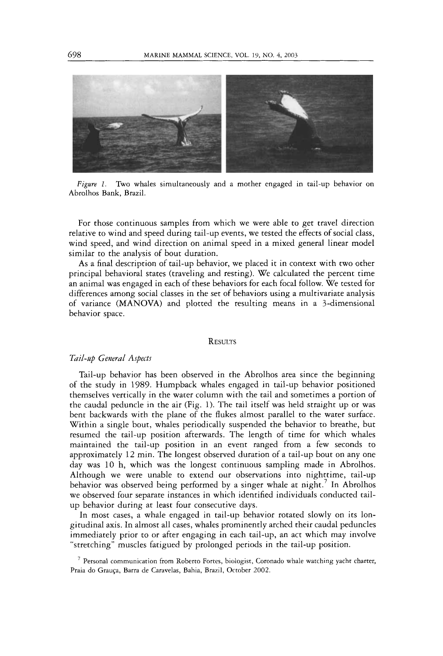

*Figure 1.* Two whales simultaneously and a mother engaged in tail-up behavior on Abrolhos Bank, Brazil.

For those continuous samples from which we were able to get travel direction relative to wind and speed during tail-up events, we tested the effects of social class, wind speed, and wind direction on animal speed in a mixed general linear model similar to the analysis of bout duration.

As a final description of tail-up behavior, we placed it in context with two ocher principal behavioral states (traveling and resting). We calculated the percent time an animal was engaged in each of these behaviors for each focal follow. We tested for differences among social classes in the set of behaviors using a multivariate analysis of variance (MANOVA) and plotted the resulting means in a 3-dimensional behavior space.

#### **RESULTS**

# *Tail-@ General Aspects*

Tail-up behavior has been observed in the Abrolhos area since the beginning of the study in 1989. Humpback whales engaged in tail-up behavior positioned themselves vertically in the water column with the tail and sometimes a portion of the caudal peduncle in the air (Fig. 1). The tail itself was held straight up or was bent backwards with the plane of the flukes almost parallel to the water surface. Within a single bout, whales periodically suspended the behavior to breathe, but resumed the tail-up position afterwards. The length of time for which whales maintained the tail-up position in an event ranged from a few seconds to approximately 12 min. The longest observed duration of a tail-up bout on any one day was 10 h, which was the longest continuous sampling made in Abrolhos. Although we were unable to extend our observations into nighttime, tail-up behavior was observed being performed by a singer whale at night.' In Abrolhos we observed four separate instances in which identified individuals conducted tailup behavior during at least four consecutive days.

In most cases, a whale engaged in tail-up behavior rotated slowly on its longitudinal axis. In almost all cases, whales prominently arched their caudal peduncles immediately prior to or after engaging in each tail-up, an act which may involve "stretching" muscles fatigued by prolonged periods in the tail-up position.

 $7$  Personal communication from Roberto Fortes, biologist, Coronado whale watching yacht charter, Praia do Grauça, Barra de Caravelas, Bahia, Brazil, October 2002.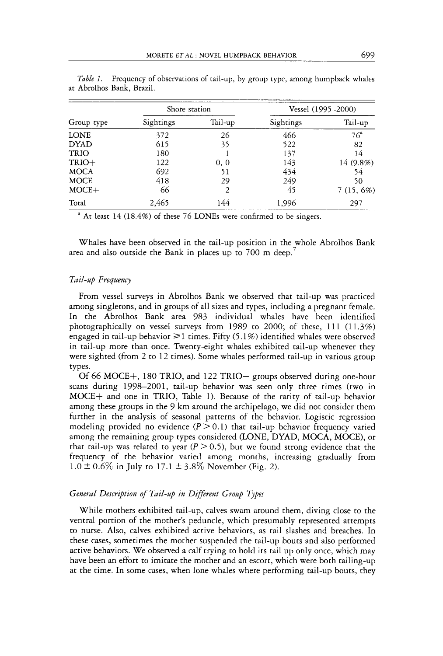|             | Shore station |         | Vessel (1995–2000) |                 |  |
|-------------|---------------|---------|--------------------|-----------------|--|
| Group type  | Sightings     | Tail-up | Sightings          | Tail-up         |  |
| <b>LONE</b> | 372           | 26      | 466                | 76 <sup>a</sup> |  |
| <b>DYAD</b> | 615           | 35      | 522                | 82              |  |
| <b>TRIO</b> | 180           |         | 137                | 14              |  |
| $TRIO+$     | 122           | 0.0     | 143                | 14 (9.8%)       |  |
| <b>MOCA</b> | 692           | 51      | 434                | 54              |  |
| MOCE        | 418           | 29      | 249                | 50              |  |
| $MOCE+$     | 66            | 2       | 45                 | $7(15, 6\%)$    |  |
| Total       | 2,465         | 144     | 1.996              | 297             |  |

*Table 1.* Frequency of observations of tail-up, by group type, among humpback whales at Abrolhos Bank, Brazil

Whales have been observed in the tail-up position in the whole Abrolhos Bank area and also outside the Bank in places up to 700 m deep.'

#### *Tail-up Frequency*

From vessel surveys in Abrolhos Bank we observed that tail-up was practiced among singletons, and in groups of all sizes and types, including a pregnant female. In the Abrolhos Bank area 983 individual whales have been identified photographically on vessel surveys from 1989 to 2000; of these, 111 (11.3%) engaged in tail-up behavior  $\geq 1$  times. Fifty (5.1%) identified whales were observed in tail-up more than once. Twenty-eight whales exhibited tail-up whenever they were sighted (from 2 to 12 times). Some whales performed tail-up in various group types.

Of *66* MOCE+, 180 TRIO, and 122 TRIO+ groups observed during one-hour scans during 1998-2001, tail-up behavior was seen only three times (two in MOCE+ and one in TRIO, Table 1). Because of the rarity of tail-up behavior among these groups in the 9 km around the archipelago, we did not consider them further in the analysis of seasonal patterns of the behavior. Logistic regression modeling provided no evidence  $(P > 0.1)$  that tail-up behavior frequency varied among the remaining group types considered (LONE, DYAD, MOCA, MOCE), or that tail-up was related to year  $(P > 0.5)$ , but we found strong evidence that the frequency of the behavior varied among months, increasing gradually from  $1.0 \pm 0.6\%$  in July to  $17.1 \pm 3.8\%$  November (Fig. 2).

# *General Description of Tail-up in Different Group Types*

While mothers exhibited tail-up, calves swam around them, diving close to the ventral portion of the mother's peduncle, which presumably represented attempts to nurse. **Also,** calves exhibited active behaviors, as tail slashes and breaches. In these cases, sometimes the mother suspended the tail-up bouts and also performed active behaviors. We observed a calf trying to hold its tail up only once, which may have been an effort to imitate the mother and an escort, which were both tailing-up at the time. In some cases, when lone whales where performing tail-up bouts, they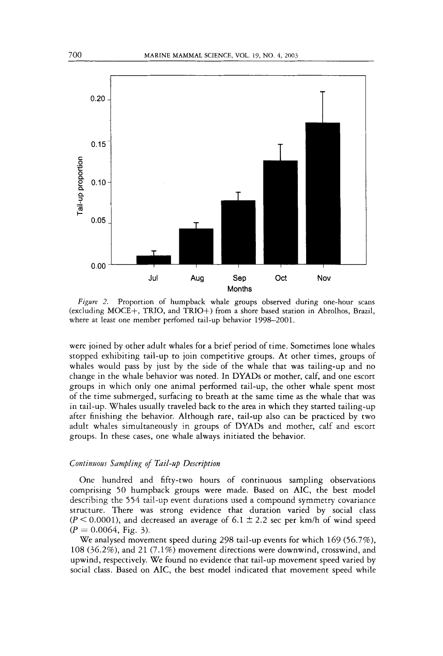

*Figure 2.* Proportion of humpback whale groups observed during one-hour scans (excluding MOCE+, TRIO, and TRIO+) from a shore based station in Abrolhos, Brazil, where at least one member perfomed tail-up behavior 1998-2001.

were joined by other adult whales for a brief period of time. Sometimes lone whales stopped exhibiting tail-up to join competitive groups. **At** other times, groups of whales would pass by just by the side of the whale that was tailing-up and no change in the whale behavior was noted. In DYADs or mother, calf, and one escort groups in which only one animal performed tail-up, the other whale spent most of the time submerged, surfacing to breath at the same time as the whale that was in tail-up. Whales usually traveled back to the area in which they started tailing-up after finishing the behavior. Although rare, tail-up also can be practiced by two adult whales simultaneously in groups of DYADs and mother, calf and escort groups. In these cases, one whale always initiated the behavior.

## *Continuous Sampling of Tail-@ Description*

One hundred and fifty-two hours of continuous sampling observations comprising *50* humpback groups were made. Based on AIC, the best model describing the *554* tail-up event durations used a compound symmetry covariance structure. There was strong evidence that duration varied by social class  $(P \le 0.0001)$ , and decreased an average of  $6.1 \pm 2.2$  sec per km/h of wind speed  $(P = 0.0064, Fig. 3)$ .

We analysed movement speed during 298 tail-up events for which 169 *(56.7%),*  108 *(36.2%),* and 21 (7.1%) movement directions were downwind, crosswind, and upwind, respectively. We found no evidence that tail-up movement speed varied by social class. Based on AIC, the best model indicated that movement speed while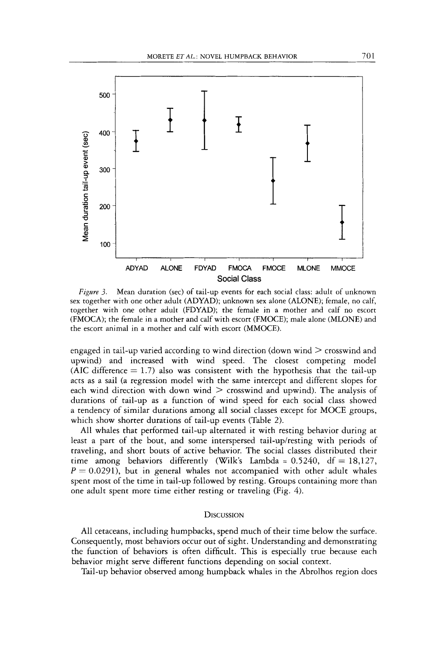

*Figure 3.* Mean duration (sec) of tail-up events for each social class: adult of unknown sex together with one other adult (ADYAD); unknown sex alone (ALONE); female, no calf, together with one other adult (FDYAD); the female in a mother and calf no escort (FMOCA); the female in a mother and calf with escort (FMOCE); male alone (MLONE) and the escort animal in a mother and calf with escort (MMOCE).

engaged in tail-up varied according to wind direction (down wind  $\geq$  crosswind and upwind) and increased with wind speed. The closest competing model (AIC difference  $= 1.7$ ) also was consistent with the hypothesis that the tail-up acts as a sail (a regression model with the same intercept and different slopes for each wind direction with down wind  $\geq$  crosswind and upwind). The analysis of durations of tail-up as a function of wind speed for each social class showed a tendency of similar durations among all social classes except for MOCE groups, which show shorter durations of tail-up events (Table 2).

All whales that performed tail-up alternated it with resting behavior during at least a part of the bout, and some interspersed tail-up/resting with periods of traveling, and short bouts of active behavior. The social classes distributed their time among behaviors differently (Wilk's Lambda =  $0.5240$ ,  $df = 18,127$ ,  $P = 0.0291$ ), but in general whales not accompanied with other adult whales spent most of the time in tail-up followed by resting. Groups containing more than one adult spent more time either resting or traveling (Fig. *4).* 

# **DISCUSSION**

All cetaceans, including humpbacks, spend much of their time below the surface. Consequently, most behaviors occur out of sight. Understanding and demonstrating the function of behaviors is often difficult. This is especially true because each behavior might serve different functions depending on social context.

Tail-up behavior observed among humpback whales in the Abrolhos region does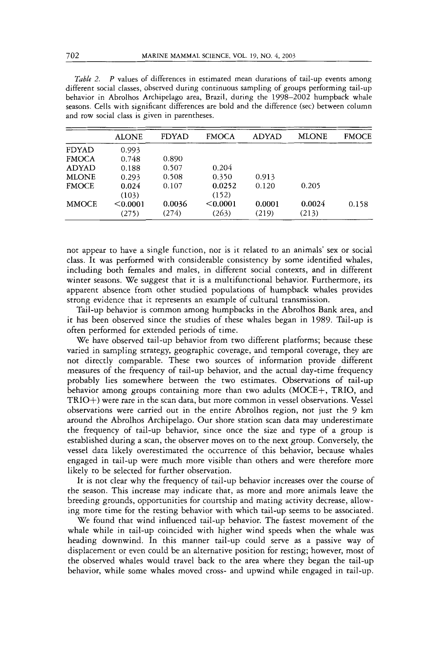| <i>Table 2. P</i> values of differences in estimated mean durations of tail-up events among  |
|----------------------------------------------------------------------------------------------|
| different social classes, observed during continuous sampling of groups performing tail-up   |
| behavior in Abrolhos Archipelago area, Brazil, during the 1998–2002 humpback whale           |
| seasons. Cells with significant differences are bold and the difference (sec) between column |
| and row social class is given in parentheses.                                                |

|              | <b>ALONE</b> | <b>FDYAD</b> | <b>FMOCA</b> | <b>ADYAD</b> | <b>MLONE</b> | <b>FMOCE</b> |
|--------------|--------------|--------------|--------------|--------------|--------------|--------------|
| FDYAD        | 0.993        |              |              |              |              |              |
| <b>FMOCA</b> | 0.748        | 0.890        |              |              |              |              |
| <b>ADYAD</b> | 0.188        | 0.507        | 0.204        |              |              |              |
| <b>MLONE</b> | 0.293        | 0.508        | 0.350        | 0.913        |              |              |
| <b>FMOCE</b> | 0.024        | 0.107        | 0.0252       | 0.120        | 0.205        |              |
|              | (103)        |              | (152)        |              |              |              |
| <b>MMOCE</b> | < 0.0001     | 0.0036       | < 0.0001     | 0.0001       | 0.0024       | 0.158        |
|              | (275)        | (274)        | (263)        | (219)        | (213)        |              |

not appear to have a single function, nor is it related to an animals' sex or social class. It was performed with considerable consistency by some identified whales, including both females and males, in different social contexts, and in different winter seasons. We suggest that it is a multifunctional behavior. Furthermore, its apparent absence from other studied populations of humpback whales provides strong evidence that it represents an example of cultural transmission.

Tail-up behavior is common among humpbacks in the Abrolhos Bank area, and it has been observed since the studies of these whales began in 1989. Tail-up is often performed for extended periods of time.

We have observed tail-up behavior from two different platforms; because these varied in sampling strategy, geographic coverage, and temporal coverage, they are not directly comparable. These two sources of information provide different measures of the frequency of tail-up behavior, and the actual day-time frequency probably lies somewhere between the two estimates. Observations of tail-up behavior among groups containing more than two adults (MOCE+, TRIO, and TRIO+) were rare in the scan data, but more common in vessel observations. Vessel observations were carried out in the entire Abrolhos region, not just the 9 km around the Abrolhos Archipelago. Our shore station scan data may underestimate the frequency of tail-up behavior, since once the size and type of a group is established during a scan, the observer moves on to the next group. Conversely, the vessel data likely overestimated the occurrence of this behavior, because whales engaged in tail-up were much more visible than others and were therefore more likely to be selected for further observation.

It is not clear why the frequency of tail-up behavior increases over the course of the season. This increase may indicate that, as more and more animals leave the breeding grounds, opportunities for courtship and mating activity decrease, allowing more time for the resting behavior with which tail-up seems to be associated.

We found that wind influenced tail-up behavior. The fastest movement of the whale while in tail-up coincided with higher wind speeds when the whale was heading downwind. In this manner tail-up could serve as a passive way of displacement or even could be an alternative position for resting; however, most of the observed whales would travel back to the area where they began the tail-up behavior, while some whales moved cross- and upwind while engaged in tail-up.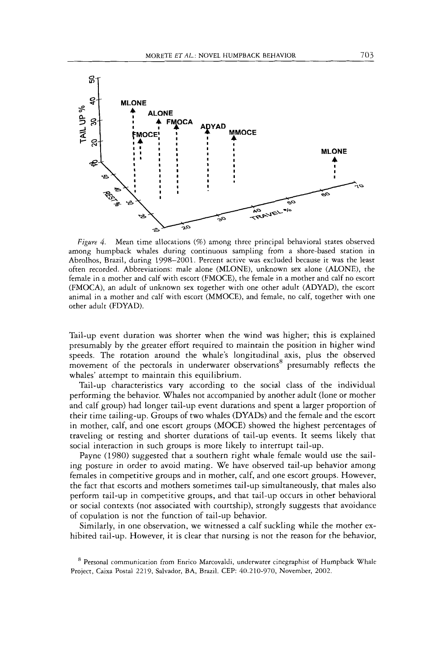

*Figwe 4.* Mean time allocations *(96)* among three principal behavioral states observed among humpback whales during continuous sampling from a shore-based station in Abrolhos, Brazil, during 1998-2001. Percent active was excluded because it **was** the least often recorded. Abbreviations: male alone (MLONE), unknown sex alone (ALONE), the female in a mother and calf with escort (FMOCE), the female in a mother and calf no escort (FMOCA), an adult of unknown sex together with one other adult (ADYAD), the escort animal in a mother and calf with escort (MMOCE), and female, no calf, together with one other adult (FDYAD).

Tail-up event duration was shorter when the wind was higher; this is explained presumably by the greater effort required to maintain the position in higher wind speeds. The rotation around the whale's longitudinal axis, plus the observed movement of the pectorals in underwater observations<sup>8</sup> presumably reflects the whales' attempt to maintain this equilibrium.

Tail-up characteristics vary according to the social class of the individual performing the behavior. Whales not accompanied by another adult (lone or mother and calf group) had longer tail-up event durations and spent a larger proportion of their time tailing-up. Groups of two whales **(DYADS)** and the female and the escort in mother, calf, and one escort groups (MOCE) showed the highest percentages of traveling or resting and shorter durations of tail-up events. It seems likely that social interaction in such groups is more likely to interrupt tail-up.

Payne (1980) suggested that a southern right whale female would use the sailing posture in order to avoid mating. We have observed tail-up behavior among females in competitive groups and in mother, calf, and one escort groups. However, the fact that escorts and mothers sometimes tail-up simultaneously, that males also perform tail-up in competitive groups, and that tail-up occurs in other behavioral or social contexts (not associated with courtship), strongly suggests that avoidance of copulation is not the function of tail-up behavior.

Similarly, in one observation, we witnessed a calf suckling while the mother exhibited tail-up. However, it is clear that nursing is not the reason for the behavior,

<sup>&</sup>lt;sup>8</sup> Personal communication from Enrico Marcovaldi, underwater cinegraphist of Humpback Whale Project, Caixa Postal 2219, Salvador, **BA,** Brazil. CEP: 40.210-970, November, 2002.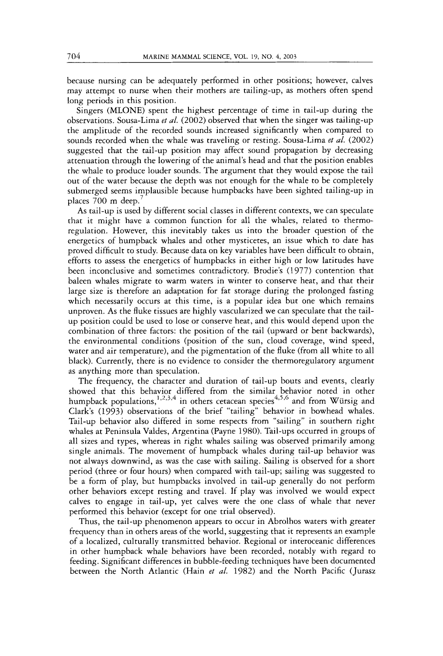because nursing can be adequately performed in other positions; however, calves may attempt to nurse when their mothers are tailing-up, as mothers often spend long periods in this position.

Singers (MLONE) spent the highest percentage of time in tail-up during the observations. Sousa-Lima *et al.* (2002) observed that when the singer was tailing-up the amplitude of the recorded sounds increased significantly when compared to sounds recorded when the whale was traveling or resting. Sousa-Lima *et al.* (2002) suggested that the tail-up position may affect sound propagation by decreasing attenuation through the lowering of the animal's head and that the position enables the whale to produce louder sounds. The argument that they would expose the tail out of the water because the depth was not enough for the whale to be completely submerged seems implausible because humpbacks have been sighted tailing-up in places 700 m deep.'

As tail-up is used by different social classes in different contexts, we can speculate that it might have a common function for all the whales, related to thermoregulation. However, this inevitably takes us into the broader question of the energetics of humpback whales and other mysticetes, an issue which to date has proved difficult to study. Because data on key variables have been difficult to obtain, efforts to assess the energetics of humpbacks in either high or low latitudes have been inconclusive and sometimes contradictory. Brodie's (1977) contention that baleen whales migrate to warm waters in winter to conserve heat, and that their large size is therefore an adaptation for fat storage during the prolonged fasting which necessarily occurs at this time, is a popular idea but one which remains unproven. As the fluke tissues are highly vascularized we can speculate that the tailup position could be used to lose or conserve heat, and this would depend upon the combination of three factors: the position of the tail (upward or bent backwards), the environmental conditions (position of the sun, cloud coverage, wind speed, water and air temperature), and the pigmentation of the fluke (from all white to all black). Currently, there is no evidence to consider the thermoregulatory argument as anything more than speculation.

The frequency, the character and duration of tail-up bouts and events, clearly showed that this behavior differed from the similar behavior noted in other humpback populations, $^{1,2,3,4}$  in others cetacean species<sup>4,5,6</sup> and from Würsig and Clark's (1993) observations of the brief "tailing" behavior in bowhead whales. Tail-up behavior also differed in some respects from "sailing" in southern right whales at Peninsula Valdes, Argentina (Payne 1980). Tail-ups occurred in groups of all sizes and types, whereas in right whales sailing was observed primarily among single animals. The movement of humpback whales during tail-up behavior was not always downwind, as was the case with sailing. Sailing is observed for a short period (three or four hours) when compared with tail-up; sailing was suggested to be a form of play, but humpbacks involved in tail-up generally do not perform other behaviors except resting and travel. If play was involved we would expect calves to engage in tail-up, yet calves were the one class of whale that never performed this behavior (except for one trial observed).

Thus, the tail-up phenomenon appears to occur in Abrolhos waters with greater frequency than in others areas of the world, suggesting that it represents an example of a localized, culturally transmitted behavior. Regional or interoceanic differences in other humpback whale behaviors have been recorded, notably with regard to feeding. Significant differences in bubble-feeding techniques have been documented between the North Atlantic (Hain *et al.* 1982) and the North Pacific (Jurasz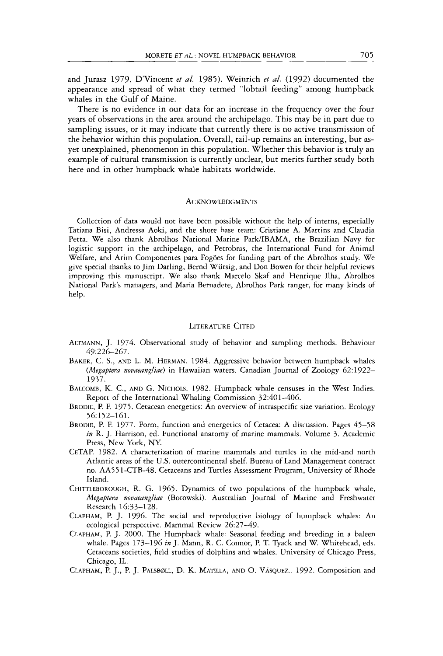and Jurasz 1979, D'Vincent *et al.* 1985). Weinrich *et al.* (1992) documented the appearance and spread of what they termed "lobtail feeding" among humpback whales in the Gulf of Maine.

There is no evidence in our data for an increase in the frequency over the four years of observations in the area around the archipelago. This may be in part due to sampling issues, or it may indicate that currently there is no active transmission of the behavior within this population. Overall, tail-up remains an interesting, but asyet unexplained, phenomenon in this population. Whether this behavior is truly an example of cultural transmission is currently unclear, bur merits further study both here and in other humpback whale habitats worldwide.

#### **ACKNOWLEDGMENTS**

Collection of data would not have been possible without the help of interns, especially Tatiana Bisi, Andressa Aoki, and the shore base team: Cristiane **A.** Martins and Claudia Petta. We also thank Abrolhos National Marine Park/JBAMA, the Brazilian Navy for logistic support in the archipelago, and Petrobras, the International Fund for Animal Welfare, and Arim Componentes para Fog6es for funding part of the Abrolhos study. We give special thanks to Jim Darling, Berod Wursig, and Don Bowen for their helpful reviews improving this manuscript. We also thank Marcelo Skaf and Henrique Ilha, Abrolhos National Park's managers, and Maria Bernadete, Abrolhos Park ranger, for many kinds of help.

## LITERATURE CITED

- AUrMANN, J. 1974. Observational study of behavior and sampling methods. Behaviour 49:226-267.
- BAKER, C. **S.,** AND L. M. HERMAN. 1984. Aggressive behavior between humpback whales *(hlegaptera novaeangliae)* in Hawaiian waters. Canadian Journal of Zoology 62: 1922- 1937.
- BALCOMB, K. C., AND G. NICHOLS. 1982. Humpback whale censuses in the West Indies. Report of the International Whaling Commission 32:401-406.
- BRODIE, P.F. 1975. Cetacean energetics: An overview of intraspecific size variation. Ecology 56: 152-161.
- BRODIE, P. F. 1977. Form, function and energetics of Cetacea: A discussion. Pages 45-58 *in* R. J. Harrison, ed. Functional anatomy of marine mammals. Volume 3. Academic Press, New **York,** NY.
- CETAP. 1982. A characterization of marine mammals and turtles in the mid-and north Atlantic areas of the US. outercontinental shelf. Bureau of Land Management contract no. AA55 1-CTB-48. Cetaceans and Turtles Assessment Program, University of Rhode Island.
- CHITTLEBOROUGH, R. G. 1965. Dynamics of two populations of the humpback whale, *Megaptera novaeangliae* (Borowski). Australian Journal of Marine and Freshwater Research 16:33-128.
- CLAPHAM, P.J. 1996. The social and reproductive biology of humpback whales: An ecological perspective. Mammal Review 26:27-49.
- CLAPHAM, P. J. 2000. The Humpback whale: Seasonal feeding and breeding in a baleen whale. Pages 173-196 *in* J. Mann, R. C. Connor, P. **T.** Tyack and W. Whitehead, eds. Cetaceans societies, field studies of dolphins and whales. University of Chicago Press, Chicago, IL.
- CLAPHAM, P. J., P. J. PALSBØLL, D. K. MATILLA, AND O. VÁSQUEZ.. 1992. Composition and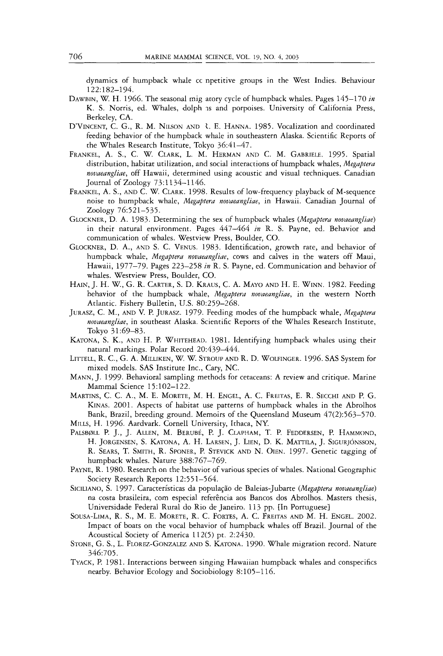dynamics of humpback whale cc npetitive groups in the West Indies. Behaviour 12 2: 182-1 94.

- DAWBIN, W. H. 1966. The seasonal rnig atory cycle of humpback whales. Pages 145-170 *in*  K. S. Norris, ed. Whales, dolph **is** and porpoises. University of California Press, Berkeley, CA.
- D'VINCENT, C. G., R. M. NILSON AND  $\lambda$ . E. HANNA. 1985. Vocalization and coordinated feeding behavior of the humpback whale in southeastern Alaska. Scientific Reports of the Whales Research Institute, Tokyo 36:41-47.
- FRANKEL, A. S., C. W. CLARK, L. M. HERMAN AND C. M. GABRIELE. 1995. Spatial distribution, habitat utilization, and social interactions of humpback whales, *Megaptera nuvaeanglide,* off Hawaii, determined using acoustic and visual techniques. Canadian Journal of Zoology 73:1134-1146.
- FRANKEL, A. S., AND C. W. CLARK. 1998. Results of low-frequency playback of M-sequence noise to humpback whale, *Megaptera novaeangliae,* in Hawaii. Canadian Journal of Zoology 76:521-535.
- GLOCKNER, D. **A.** 1983. Determining the sex of humpback whales *(Megaptera novaeangliae)*  in their natural environment. Pages 447-464 *in* R. S. Payne, ed. Behavior and communication of whales. Westview Press, Boulder, CO.
- GLOCKNER, D. A., AND S. C. VENUS. 1983. Identification, growth rate, and behavior of humpback whale, *Megaptera novaeangliae,* cows and calves in the waters off Maui, Hawaii, 1977-79. Pages 223-258 *in* R. S. Payne, ed. Communication and behavior of whales. Westview Press, Boulder, CO.
- HAIN, J. H. W., G. R. CARTER, S.D. KRAUS, C. A. MAYO AND H. E. WINN. 1982. Feeding behavior of the humpback whale, *Megaptera novaeangliae,* in the western North Atlantic. Fishery Bulletin, US. 80:259-268.
- JURASZ, C. M., AND V. P. JURASZ. 1979. Feeding modes of the humpback whale, *Megaptera novaeangliae,* in southeast Alaska. Scientific Reports of the Whales Research Institute, Tokyo 31:69-83.
- KATONA, S. K., AND H. P. WHITEHEAD. 1981. Identifying humpback whales using their natural markings. Polar Record 20:439-444.
- LITTELL, R. C., G. A. MILLIKEN, W. W. STROUP AND R. D. WOLFINGER. 1996. SAS System for mixed models. SAS Institute Inc., Cary, NC.
- MANN, J. 1999. Behavioral sampling methods for cetaceans: A review and critique. Marine Mammal Science 15:102-122.
- MARTINS, C. C. A., M. E. MORETE, M. H. ENGEL, A. C. FREITAS, E.R. SECCHI AND P. G. KINAS. 2001. Aspects of habitat use patterns of humpback whales in the Abrolhos Bank, Brazil, breeding ground. Memoirs of the Queensland Museum 47(2):563-570.
- MILLS, H. 1996. Aardvark. Cornell University, Ithaca, NY.
- PALSBØLL P. J., J. ALLEN, M. BERUBÉ, P. J. CLAPHAM, T. P. FEDDERSEN, P. HAMMOND, H. JORGENSEN, S. KATONA, A. H. LARSEN, J. LIEN, D. K. MATTILA, J. SIGURJÓNSSON, R. SEARS, T. SMITH, R. SPONER, P. STEVICK AND N. OIBN. 1997. Genetic tagging of humpback whales. Nature 388:767-769.
- PAYNE, R. 1980. Research on the behavior of various species of whales. National Geographic Society Research Reports 12:551-564.
- SICILIANO, S. 1997. Características da população de Baleias-Jubarte *(Megaptera novaeangliae)* na costa brasileira, com especial referência aos Bancos dos Abrolhos. Masters thesis, Universidade Federal Rural do Rio de Janeiro. 11 *3* pp. {In Portuguese]
- SOUSA-LIMA, R. S., M. E. MORETE, R. C. FORTES, A. C. FREITAS AND M. H. ENGEL. 2002. Impact of boats on the vocal behavior of humpback whales off Brazil. Journal of the Acoustical Society of America 112(5) pt. 2:2430.
- STONE, G. S., L. FLOREZ-GONZALEZ AND S. KATONA. 1990. Whale migration record. Nature 346:705.
- TYACK, P.1981. Interactions between singing Hawaiian humpback whales and conspecifics nearby. Behavior Ecology and Sociobiology 8:105-116.